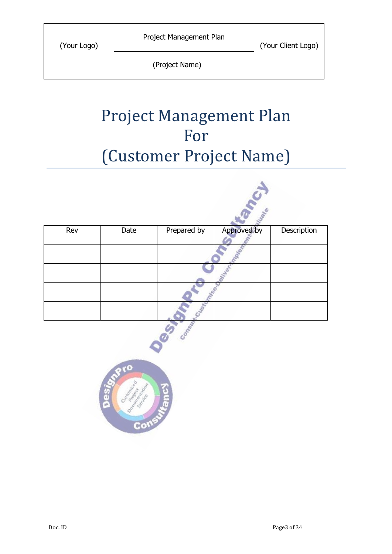۵

# Project Management Plan For (Customer Project Name)

| Rev | Date | Prepared by | Approved by | Description |
|-----|------|-------------|-------------|-------------|
|     |      |             |             |             |
|     |      |             |             |             |
|     |      |             |             |             |
|     |      |             |             |             |

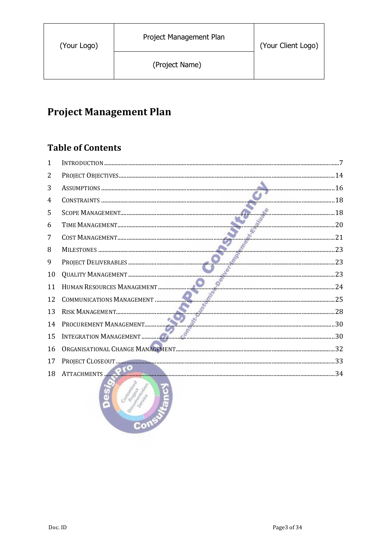# **Project Management Plan**

### **Table of Contents**

| $\mathbf{1}$ |                        |  |
|--------------|------------------------|--|
| 2            |                        |  |
| 3            |                        |  |
| 4            |                        |  |
| 5            | 20                     |  |
| 6            |                        |  |
| 7            |                        |  |
| 8            |                        |  |
| 9            |                        |  |
| 10           |                        |  |
| 11           |                        |  |
| 12           |                        |  |
| 13           |                        |  |
| 14           |                        |  |
| 15           |                        |  |
| 16           |                        |  |
| 17           |                        |  |
| 18           | ATTACHMENTS 200        |  |
|              | Construction of<br>Con |  |